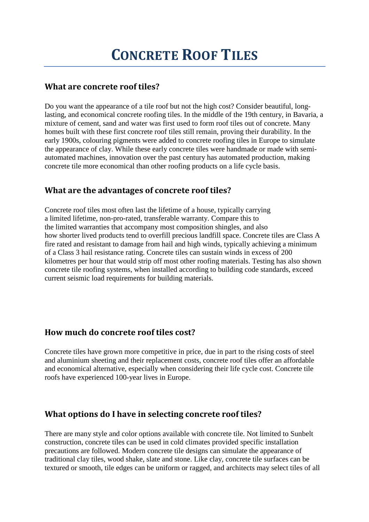#### **What are concrete roof tiles?**

Do you want the appearance of a tile roof but not the high cost? Consider beautiful, longlasting, and economical concrete roofing tiles. In the middle of the 19th century, in Bavaria, a mixture of cement, sand and water was first used to form roof tiles out of concrete. Many homes built with these first concrete roof tiles still remain, proving their durability. In the early 1900s, colouring pigments were added to concrete roofing tiles in Europe to simulate the appearance of clay. While these early concrete tiles were handmade or made with semiautomated machines, innovation over the past century has automated production, making concrete tile more economical than other roofing products on a life cycle basis.

## **What are the advantages of concrete roof tiles?**

Concrete roof tiles most often last the lifetime of a house, typically carrying a limited lifetime, non-pro-rated, transferable warranty. Compare this to the limited warranties that accompany most composition shingles, and also how shorter lived products tend to overfill precious landfill space. Concrete tiles are Class A fire rated and resistant to damage from hail and high winds, typically achieving a minimum of a Class 3 hail resistance rating. Concrete tiles can sustain winds in excess of 200 kilometres per hour that would strip off most other roofing materials. Testing has also shown concrete tile roofing systems, when installed according to building code standards, exceed current seismic load requirements for building materials.

# **How much do concrete roof tiles cost?**

Concrete tiles have grown more competitive in price, due in part to the rising costs of steel and aluminium sheeting and their replacement costs, concrete roof tiles offer an affordable and economical alternative, especially when considering their life cycle cost. Concrete tile roofs have experienced 100-year lives in Europe.

#### **What options do I have in selecting concrete roof tiles?**

There are many style and color options available with concrete tile. Not limited to Sunbelt construction, concrete tiles can be used in cold climates provided specific installation precautions are followed. Modern concrete tile designs can simulate the appearance of traditional clay tiles, wood shake, slate and stone. Like clay, concrete tile surfaces can be textured or smooth, tile edges can be uniform or ragged, and architects may select tiles of all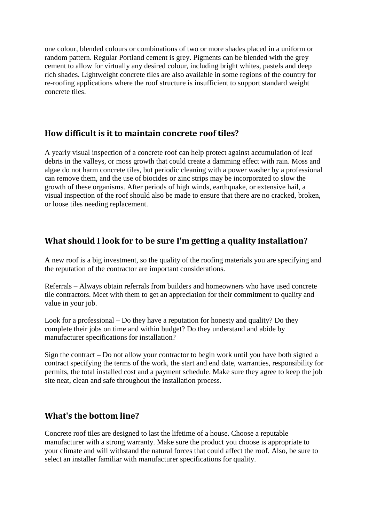one colour, blended colours or combinations of two or more shades placed in a uniform or random pattern. Regular Portland cement is grey. Pigments can be blended with the grey cement to allow for virtually any desired colour, including bright whites, pastels and deep rich shades. Lightweight concrete tiles are also available in some regions of the country for re-roofing applications where the roof structure is insufficient to support standard weight concrete tiles.

#### **How difficult is it to maintain concrete roof tiles?**

A yearly visual inspection of a concrete roof can help protect against accumulation of leaf debris in the valleys, or moss growth that could create a damming effect with rain. Moss and algae do not harm concrete tiles, but periodic cleaning with a power washer by a professional can remove them, and the use of biocides or zinc strips may be incorporated to slow the growth of these organisms. After periods of high winds, earthquake, or extensive hail, a visual inspection of the roof should also be made to ensure that there are no cracked, broken, or loose tiles needing replacement.

## **What should I look for to be sure I'm getting a quality installation?**

A new roof is a big investment, so the quality of the roofing materials you are specifying and the reputation of the contractor are important considerations.

Referrals – Always obtain referrals from builders and homeowners who have used concrete tile contractors. Meet with them to get an appreciation for their commitment to quality and value in your job.

Look for a professional – Do they have a reputation for honesty and quality? Do they complete their jobs on time and within budget? Do they understand and abide by manufacturer specifications for installation?

Sign the contract – Do not allow your contractor to begin work until you have both signed a contract specifying the terms of the work, the start and end date, warranties, responsibility for permits, the total installed cost and a payment schedule. Make sure they agree to keep the job site neat, clean and safe throughout the installation process.

#### **What's the bottom line?**

Concrete roof tiles are designed to last the lifetime of a house. Choose a reputable manufacturer with a strong warranty. Make sure the product you choose is appropriate to your climate and will withstand the natural forces that could affect the roof. Also, be sure to select an installer familiar with manufacturer specifications for quality.